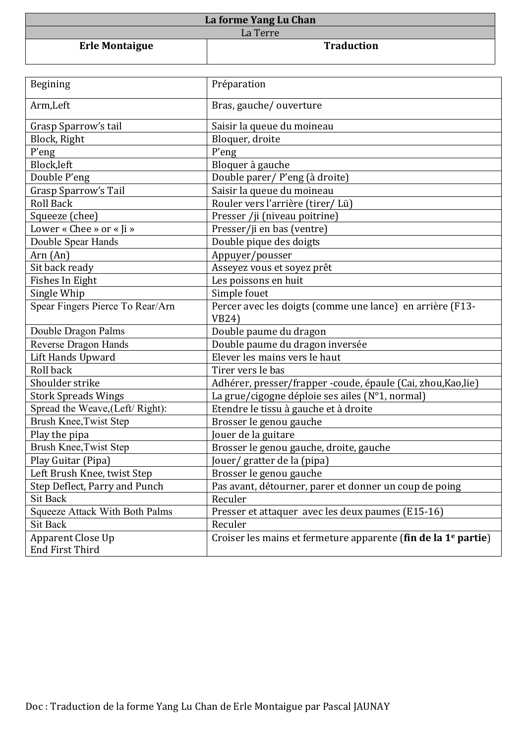| La forme Yang Lu Chan |                   |
|-----------------------|-------------------|
| La Terre              |                   |
| <b>Erle Montaigue</b> | <b>Traduction</b> |

Г

| Begining                              | Préparation                                                                |
|---------------------------------------|----------------------------------------------------------------------------|
| Arm, Left                             | Bras, gauche/ouverture                                                     |
| Grasp Sparrow's tail                  | Saisir la queue du moineau                                                 |
| Block, Right                          | Bloquer, droite                                                            |
| P'eng                                 | P'eng                                                                      |
| Block, left                           | Bloquer à gauche                                                           |
| Double P'eng                          | Double parer/ P'eng (à droite)                                             |
| <b>Grasp Sparrow's Tail</b>           | Saisir la queue du moineau                                                 |
| <b>Roll Back</b>                      | Rouler vers l'arrière (tirer/Lü)                                           |
| Squeeze (chee)                        | Presser /ji (niveau poitrine)                                              |
| Lower « Chee » or « Ji »              | Presser/ji en bas (ventre)                                                 |
| Double Spear Hands                    | Double pique des doigts                                                    |
| Arn (An)                              | Appuyer/pousser                                                            |
| Sit back ready                        | Asseyez vous et soyez prêt                                                 |
| Fishes In Eight                       | Les poissons en huit                                                       |
| Single Whip                           | Simple fouet                                                               |
| Spear Fingers Pierce To Rear/Arn      | Percer avec les doigts (comme une lance) en arrière (F13-                  |
|                                       | <b>VB24)</b>                                                               |
| Double Dragon Palms                   | Double paume du dragon                                                     |
| Reverse Dragon Hands                  | Double paume du dragon inversée                                            |
| <b>Lift Hands Upward</b>              | Elever les mains vers le haut                                              |
| Roll back                             | Tirer vers le bas                                                          |
| Shoulder strike                       | Adhérer, presser/frapper -coude, épaule (Cai, zhou, Kao, lie)              |
| <b>Stork Spreads Wings</b>            | La grue/cigogne déploie ses ailes (N°1, normal)                            |
| Spread the Weave, (Left/Right):       | Etendre le tissu à gauche et à droite                                      |
| Brush Knee, Twist Step                | Brosser le genou gauche                                                    |
| Play the pipa                         | Jouer de la guitare                                                        |
| <b>Brush Knee, Twist Step</b>         | Brosser le genou gauche, droite, gauche                                    |
| Play Guitar (Pipa)                    | Jouer/gratter de la (pipa)                                                 |
| Left Brush Knee, twist Step           | Brosser le genou gauche                                                    |
| Step Deflect, Parry and Punch         | Pas avant, détourner, parer et donner un coup de poing                     |
| <b>Sit Back</b>                       | Reculer                                                                    |
| <b>Squeeze Attack With Both Palms</b> | Presser et attaquer avec les deux paumes (E15-16)                          |
| <b>Sit Back</b>                       | Reculer                                                                    |
| <b>Apparent Close Up</b>              | Croiser les mains et fermeture apparente (fin de la 1 <sup>e</sup> partie) |
| <b>End First Third</b>                |                                                                            |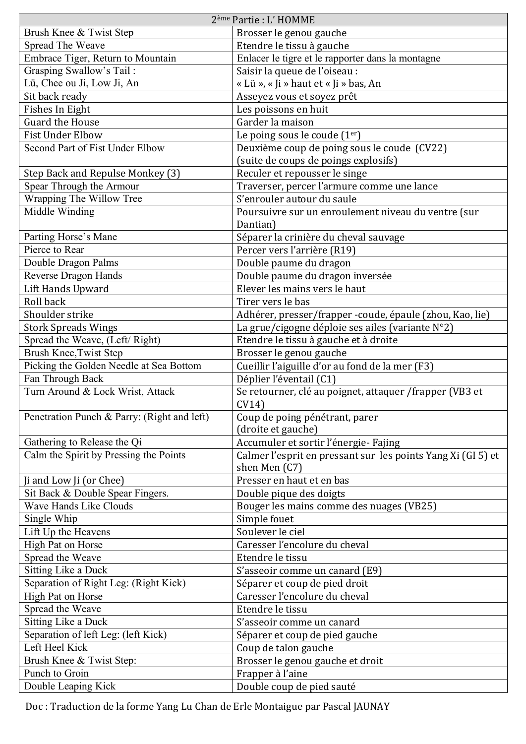| 2 <sup>ème</sup> Partie : L'HOMME           |                                                                   |
|---------------------------------------------|-------------------------------------------------------------------|
| Brush Knee & Twist Step                     | Brosser le genou gauche                                           |
| Spread The Weave                            | Etendre le tissu à gauche                                         |
| Embrace Tiger, Return to Mountain           | Enlacer le tigre et le rapporter dans la montagne                 |
| Grasping Swallow's Tail:                    | Saisir la queue de l'oiseau :                                     |
| Lü, Chee ou Ji, Low Ji, An                  | « Lü », « Ji » haut et « Ji » bas, An                             |
| Sit back ready                              | Asseyez vous et soyez prêt                                        |
| Fishes In Eight                             | Les poissons en huit                                              |
| <b>Guard the House</b>                      | Garder la maison                                                  |
| <b>Fist Under Elbow</b>                     | Le poing sous le coude (1er)                                      |
| Second Part of Fist Under Elbow             | Deuxième coup de poing sous le coude (CV22)                       |
|                                             | (suite de coups de poings explosifs)                              |
| Step Back and Repulse Monkey (3)            | Reculer et repousser le singe                                     |
| Spear Through the Armour                    | Traverser, percer l'armure comme une lance                        |
| Wrapping The Willow Tree                    | S'enrouler autour du saule                                        |
| Middle Winding                              | Poursuivre sur un enroulement niveau du ventre (sur               |
|                                             | Dantian)                                                          |
| Parting Horse's Mane                        | Séparer la crinière du cheval sauvage                             |
| Pierce to Rear                              | Percer vers l'arrière (R19)                                       |
| Double Dragon Palms                         | Double paume du dragon                                            |
| Reverse Dragon Hands                        | Double paume du dragon inversée                                   |
| Lift Hands Upward                           | Elever les mains vers le haut                                     |
| Roll back                                   | Tirer vers le bas                                                 |
|                                             |                                                                   |
| Shoulder strike                             | Adhérer, presser/frapper -coude, épaule (zhou, Kao, lie)          |
| <b>Stork Spreads Wings</b>                  | La grue/cigogne déploie ses ailes (variante N°2)                  |
| Spread the Weave, (Left/Right)              | Etendre le tissu à gauche et à droite                             |
| Brush Knee, Twist Step                      | Brosser le genou gauche                                           |
| Picking the Golden Needle at Sea Bottom     | Cueillir l'aiguille d'or au fond de la mer (F3)                   |
| Fan Through Back                            | Déplier l'éventail (C1)                                           |
| Turn Around & Lock Wrist, Attack            | Se retourner, clé au poignet, attaquer / frapper (VB3 et<br>CV14) |
| Penetration Punch & Parry: (Right and left) | Coup de poing pénétrant, parer<br>(droite et gauche)              |
| Gathering to Release the Qi                 | Accumuler et sortir l'énergie- Fajing                             |
| Calm the Spirit by Pressing the Points      | Calmer l'esprit en pressant sur les points Yang Xi (GI 5) et      |
|                                             | shen Men (C7)                                                     |
| Ji and Low Ji (or Chee)                     | Presser en haut et en bas                                         |
| Sit Back & Double Spear Fingers.            | Double pique des doigts                                           |
| Wave Hands Like Clouds                      | Bouger les mains comme des nuages (VB25)                          |
| Single Whip                                 | Simple fouet                                                      |
| Lift Up the Heavens                         | Soulever le ciel                                                  |
| High Pat on Horse                           | Caresser l'encolure du cheval                                     |
| Spread the Weave                            | Etendre le tissu                                                  |
| Sitting Like a Duck                         | S'asseoir comme un canard (E9)                                    |
| Separation of Right Leg: (Right Kick)       | Séparer et coup de pied droit                                     |
| High Pat on Horse                           | Caresser l'encolure du cheval                                     |
| Spread the Weave                            | Etendre le tissu                                                  |
| Sitting Like a Duck                         | S'asseoir comme un canard                                         |
| Separation of left Leg: (left Kick)         | Séparer et coup de pied gauche                                    |
| Left Heel Kick                              | Coup de talon gauche                                              |
| Brush Knee & Twist Step:                    | Brosser le genou gauche et droit                                  |
| Punch to Groin                              | Frapper à l'aine                                                  |
| Double Leaping Kick                         | Double coup de pied sauté                                         |
|                                             |                                                                   |

Doc : Traduction de la forme Yang Lu Chan de Erle Montaigue par Pascal JAUNAY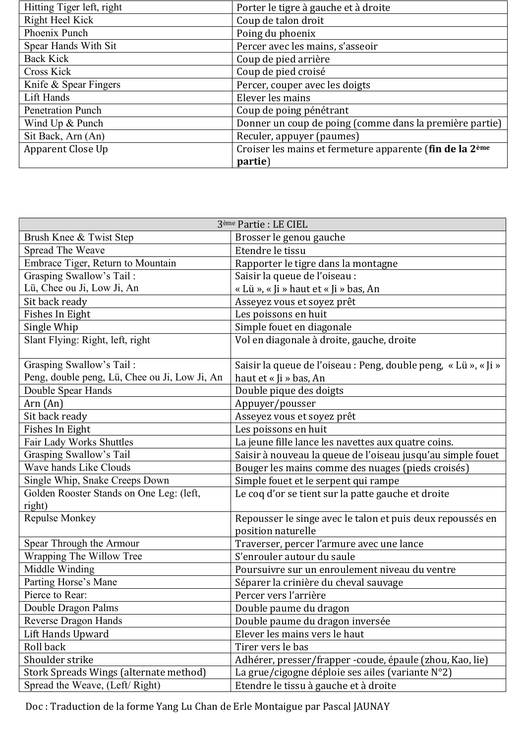| Hitting Tiger left, right | Porter le tigre à gauche et à droite                                 |
|---------------------------|----------------------------------------------------------------------|
| Right Heel Kick           | Coup de talon droit                                                  |
| Phoenix Punch             | Poing du phoenix                                                     |
| Spear Hands With Sit      | Percer avec les mains, s'asseoir                                     |
| <b>Back Kick</b>          | Coup de pied arrière                                                 |
| <b>Cross Kick</b>         | Coup de pied croisé                                                  |
| Knife & Spear Fingers     | Percer, couper avec les doigts                                       |
| Lift Hands                | Elever les mains                                                     |
| <b>Penetration Punch</b>  | Coup de poing pénétrant                                              |
| Wind Up & Punch           | Donner un coup de poing (comme dans la première partie)              |
| Sit Back, Arn (An)        | Reculer, appuyer (paumes)                                            |
| Apparent Close Up         | Croiser les mains et fermeture apparente (fin de la 2 <sup>ème</sup> |
|                           | partie)                                                              |

|                                               | 3 <sup>ème</sup> Partie : LE CIEL                               |
|-----------------------------------------------|-----------------------------------------------------------------|
| Brush Knee & Twist Step                       | Brosser le genou gauche                                         |
| Spread The Weave                              | Etendre le tissu                                                |
| Embrace Tiger, Return to Mountain             | Rapporter le tigre dans la montagne                             |
| Grasping Swallow's Tail:                      | Saisir la queue de l'oiseau :                                   |
| Lü, Chee ou Ji, Low Ji, An                    | « Lü », « Ji » haut et « Ji » bas, An                           |
| Sit back ready                                | Asseyez vous et soyez prêt                                      |
| Fishes In Eight                               | Les poissons en huit                                            |
| Single Whip                                   | Simple fouet en diagonale                                       |
| Slant Flying: Right, left, right              | Vol en diagonale à droite, gauche, droite                       |
| Grasping Swallow's Tail:                      | Saisir la queue de l'oiseau : Peng, double peng, « Lü », « Ji » |
| Peng, double peng, Lü, Chee ou Ji, Low Ji, An | haut et « Ji » bas, An                                          |
| Double Spear Hands                            | Double pique des doigts                                         |
| Arr (An)                                      | Appuyer/pousser                                                 |
| Sit back ready                                | Asseyez vous et soyez prêt                                      |
| Fishes In Eight                               | Les poissons en huit                                            |
| Fair Lady Works Shuttles                      | La jeune fille lance les navettes aux quatre coins.             |
| Grasping Swallow's Tail                       | Saisir à nouveau la queue de l'oiseau jusqu'au simple fouet     |
| Wave hands Like Clouds                        | Bouger les mains comme des nuages (pieds croisés)               |
| Single Whip, Snake Creeps Down                | Simple fouet et le serpent qui rampe                            |
| Golden Rooster Stands on One Leg: (left,      | Le coq d'or se tient sur la patte gauche et droite              |
| right)                                        |                                                                 |
| Repulse Monkey                                | Repousser le singe avec le talon et puis deux repoussés en      |
|                                               | position naturelle                                              |
| Spear Through the Armour                      | Traverser, percer l'armure avec une lance                       |
| Wrapping The Willow Tree                      | S'enrouler autour du saule                                      |
| Middle Winding                                | Poursuivre sur un enroulement niveau du ventre                  |
| Parting Horse's Mane                          | Séparer la crinière du cheval sauvage                           |
| Pierce to Rear:                               | Percer vers l'arrière                                           |
| Double Dragon Palms                           | Double paume du dragon                                          |
| <b>Reverse Dragon Hands</b>                   | Double paume du dragon inversée                                 |
| Lift Hands Upward                             | Elever les mains vers le haut                                   |
| Roll back                                     | Tirer vers le bas                                               |
| Shoulder strike                               | Adhérer, presser/frapper -coude, épaule (zhou, Kao, lie)        |
| Stork Spreads Wings (alternate method)        | La grue/cigogne déploie ses ailes (variante N°2)                |
| Spread the Weave, (Left/Right)                | Etendre le tissu à gauche et à droite                           |

Doc : Traduction de la forme Yang Lu Chan de Erle Montaigue par Pascal JAUNAY